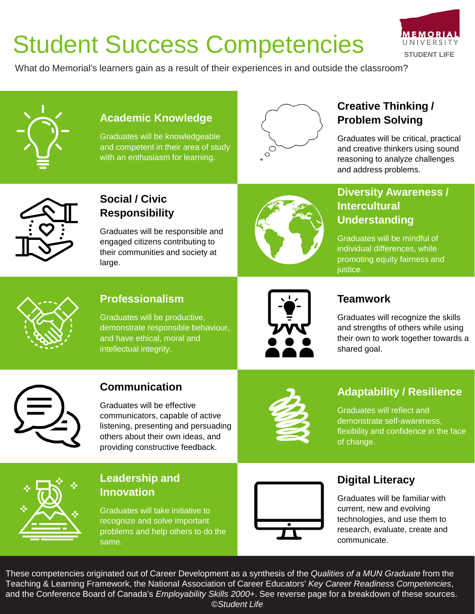# Student Success Competencies



What do Memorial's learners gain as a result of their experiences in and outside the classroom?



#### **Academic Knowledge**

Graduates will be knowledgeable and competent in their area of study with an enthusiasm for learning.



# **Creative Thinking / Problem Solving**

Graduates will be critical, practical and creative thinkers using sound reasoning to analyze challenges and address problems.



## **Social / Civic Responsibility**

Graduates will be responsible and engaged citizens contributing to their communities and society at large.



## **Diversity Awareness / Intercultural Understanding**

Graduates will be mindful of individual differences, while promoting equity fairness and justice.



## **Professionalism**

Graduates will be productive, demonstrate responsible behaviour, and have ethical, moral and intellectual integrity.



#### **Teamwork**

Graduates will recognize the skills and strengths of others while using their own to work together towards a shared goal.



## **Communication**

Graduates will be effective communicators, capable of active listening, presenting and persuading others about their own ideas, and providing constructive feedback.



# **Adaptability / Resilience**

Graduates will reflect and demonstrate self-awareness, flexibility and confidence in the face of change.



#### **Leadership and Innovation**

Graduates will take initiative to recognize and solve important problems and help others to do the same.



### **Digital Literacy**

Graduates will be familiar with current, new and evolving technologies, and use them to research, evaluate, create and communicate.

These competencies originated out of Career Development as a synthesis of the *Qualities of a MUN Graduate* from the Teaching & Learning Framework, the National Association of Career Educators' *Key Career Readiness Competencies*, and the Conference Board of Canada's *Employability Skills 2000+*. See reverse page for a breakdown of these sources. *©Student Life*